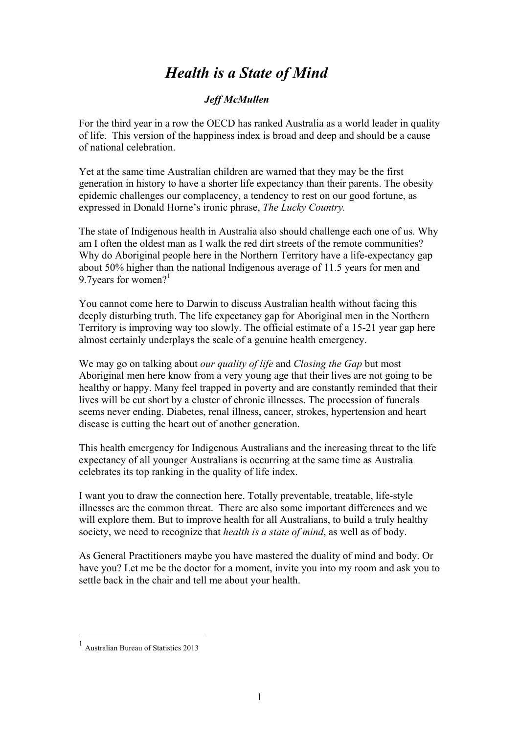## *Health is a State of Mind*

## *Jeff McMullen*

For the third year in a row the OECD has ranked Australia as a world leader in quality of life. This version of the happiness index is broad and deep and should be a cause of national celebration.

Yet at the same time Australian children are warned that they may be the first generation in history to have a shorter life expectancy than their parents. The obesity epidemic challenges our complacency, a tendency to rest on our good fortune, as expressed in Donald Horne's ironic phrase, *The Lucky Country.*

The state of Indigenous health in Australia also should challenge each one of us. Why am I often the oldest man as I walk the red dirt streets of the remote communities? Why do Aboriginal people here in the Northern Territory have a life-expectancy gap about 50% higher than the national Indigenous average of 11.5 years for men and 9.7 years for women?<sup>1</sup>

You cannot come here to Darwin to discuss Australian health without facing this deeply disturbing truth. The life expectancy gap for Aboriginal men in the Northern Territory is improving way too slowly. The official estimate of a 15-21 year gap here almost certainly underplays the scale of a genuine health emergency.

We may go on talking about *our quality of life* and *Closing the Gap* but most Aboriginal men here know from a very young age that their lives are not going to be healthy or happy. Many feel trapped in poverty and are constantly reminded that their lives will be cut short by a cluster of chronic illnesses. The procession of funerals seems never ending. Diabetes, renal illness, cancer, strokes, hypertension and heart disease is cutting the heart out of another generation.

This health emergency for Indigenous Australians and the increasing threat to the life expectancy of all younger Australians is occurring at the same time as Australia celebrates its top ranking in the quality of life index.

I want you to draw the connection here. Totally preventable, treatable, life-style illnesses are the common threat. There are also some important differences and we will explore them. But to improve health for all Australians, to build a truly healthy society, we need to recognize that *health is a state of mind*, as well as of body.

As General Practitioners maybe you have mastered the duality of mind and body. Or have you? Let me be the doctor for a moment, invite you into my room and ask you to settle back in the chair and tell me about your health.

 <sup>1</sup> Australian Bureau of Statistics 2013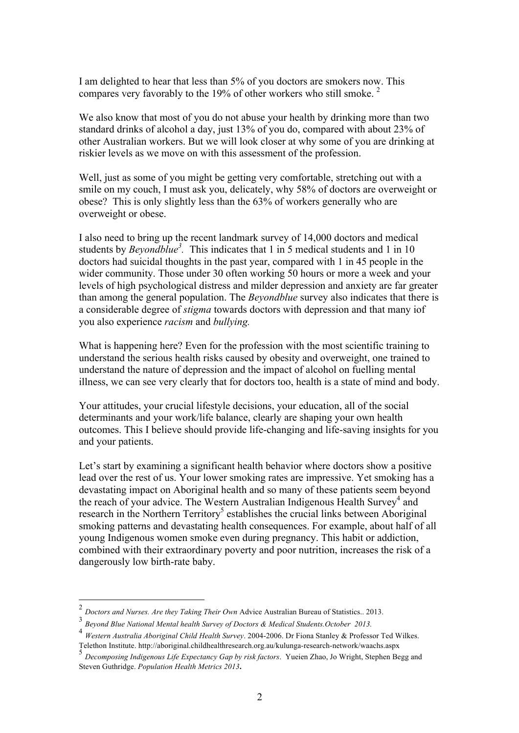I am delighted to hear that less than 5% of you doctors are smokers now. This compares very favorably to the 19% of other workers who still smoke. <sup>2</sup>

We also know that most of you do not abuse your health by drinking more than two standard drinks of alcohol a day, just 13% of you do, compared with about 23% of other Australian workers. But we will look closer at why some of you are drinking at riskier levels as we move on with this assessment of the profession.

Well, just as some of you might be getting very comfortable, stretching out with a smile on my couch, I must ask you, delicately, why 58% of doctors are overweight or obese? This is only slightly less than the 63% of workers generally who are overweight or obese.

I also need to bring up the recent landmark survey of 14,000 doctors and medical students by *Beyondblue<sup>3</sup>*. This indicates that 1 in 5 medical students and 1 in 10 doctors had suicidal thoughts in the past year, compared with 1 in 45 people in the wider community. Those under 30 often working 50 hours or more a week and your levels of high psychological distress and milder depression and anxiety are far greater than among the general population. The *Beyondblue* survey also indicates that there is a considerable degree of *stigma* towards doctors with depression and that many iof you also experience *racism* and *bullying.*

What is happening here? Even for the profession with the most scientific training to understand the serious health risks caused by obesity and overweight, one trained to understand the nature of depression and the impact of alcohol on fuelling mental illness, we can see very clearly that for doctors too, health is a state of mind and body.

Your attitudes, your crucial lifestyle decisions, your education, all of the social determinants and your work/life balance, clearly are shaping your own health outcomes. This I believe should provide life-changing and life-saving insights for you and your patients.

Let's start by examining a significant health behavior where doctors show a positive lead over the rest of us. Your lower smoking rates are impressive. Yet smoking has a devastating impact on Aboriginal health and so many of these patients seem beyond the reach of your advice. The Western Australian Indigenous Health Survey<sup>4</sup> and research in the Northern Territory<sup>5</sup> establishes the crucial links between Aboriginal smoking patterns and devastating health consequences. For example, about half of all young Indigenous women smoke even during pregnancy. This habit or addiction, combined with their extraordinary poverty and poor nutrition, increases the risk of a dangerously low birth-rate baby.

 <sup>2</sup> *Doctors and Nurses. Are they Taking Their Own* Advice Australian Bureau of Statistics.. 2013.

<sup>3</sup> *Beyond Blue National Mental health Survey of Doctors & Medical Students.October 2013.*

<sup>4</sup> *Western Australia Aboriginal Child Health Survey*. 2004-2006. Dr Fiona Stanley & Professor Ted Wilkes.

Telethon Institute. http://aboriginal.childhealthresearch.org.au/kulunga-research-network/waachs.aspx

<sup>5</sup> *Decomposing Indigenous Life Expectancy Gap by risk factors*. Yueien Zhao, Jo Wright, Stephen Begg and Steven Guthridge. *Population Health Metrics 2013***.**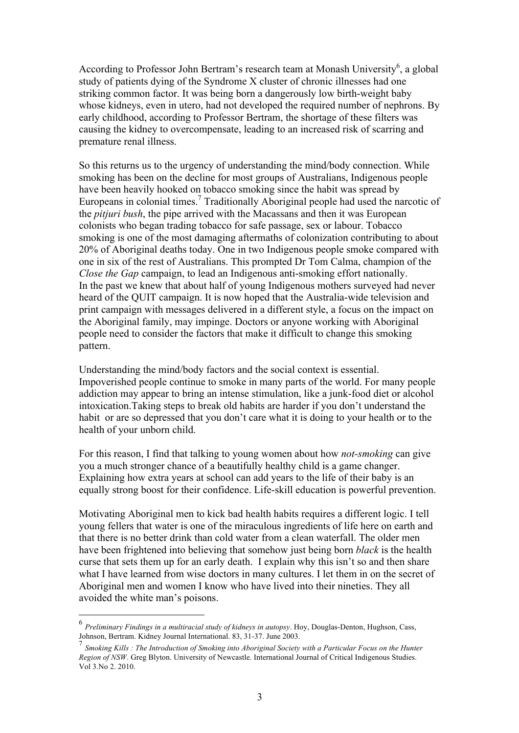According to Professor John Bertram's research team at Monash University<sup>6</sup>, a global study of patients dying of the Syndrome X cluster of chronic illnesses had one striking common factor. It was being born a dangerously low birth-weight baby whose kidneys, even in utero, had not developed the required number of nephrons. By early childhood, according to Professor Bertram, the shortage of these filters was causing the kidney to overcompensate, leading to an increased risk of scarring and premature renal illness.

So this returns us to the urgency of understanding the mind/body connection. While smoking has been on the decline for most groups of Australians, Indigenous people have been heavily hooked on tobacco smoking since the habit was spread by Europeans in colonial times. <sup>7</sup> Traditionally Aboriginal people had used the narcotic of the *pitjuri bush*, the pipe arrived with the Macassans and then it was European colonists who began trading tobacco for safe passage, sex or labour. Tobacco smoking is one of the most damaging aftermaths of colonization contributing to about 20% of Aboriginal deaths today. One in two Indigenous people smoke compared with one in six of the rest of Australians. This prompted Dr Tom Calma, champion of the *Close the Gap* campaign, to lead an Indigenous anti-smoking effort nationally. In the past we knew that about half of young Indigenous mothers surveyed had never heard of the QUIT campaign. It is now hoped that the Australia-wide television and print campaign with messages delivered in a different style, a focus on the impact on the Aboriginal family, may impinge. Doctors or anyone working with Aboriginal people need to consider the factors that make it difficult to change this smoking pattern.

Understanding the mind/body factors and the social context is essential. Impoverished people continue to smoke in many parts of the world. For many people addiction may appear to bring an intense stimulation, like a junk-food diet or alcohol intoxication.Taking steps to break old habits are harder if you don't understand the habit or are so depressed that you don't care what it is doing to your health or to the health of your unborn child.

For this reason, I find that talking to young women about how *not-smoking* can give you a much stronger chance of a beautifully healthy child is a game changer. Explaining how extra years at school can add years to the life of their baby is an equally strong boost for their confidence. Life-skill education is powerful prevention.

Motivating Aboriginal men to kick bad health habits requires a different logic. I tell young fellers that water is one of the miraculous ingredients of life here on earth and that there is no better drink than cold water from a clean waterfall. The older men have been frightened into believing that somehow just being born *black* is the health curse that sets them up for an early death. I explain why this isn't so and then share what I have learned from wise doctors in many cultures. I let them in on the secret of Aboriginal men and women I know who have lived into their nineties. They all avoided the white man's poisons.

 <sup>6</sup> *Preliminary Findings in a multiracial study of kidneys in autopsy*. Hoy, Douglas-Denton, Hughson, Cass, Johnson, Bertram. Kidney Journal International. 83, 31-37. June 2003.

<sup>7</sup> *Smoking Kills : The Introduction of Smoking into Aboriginal Society with a Particular Focus on the Hunter Region of NSW.* Greg Blyton. University of Newcastle. International Journal of Critical Indigenous Studies. Vol 3.No 2. 2010.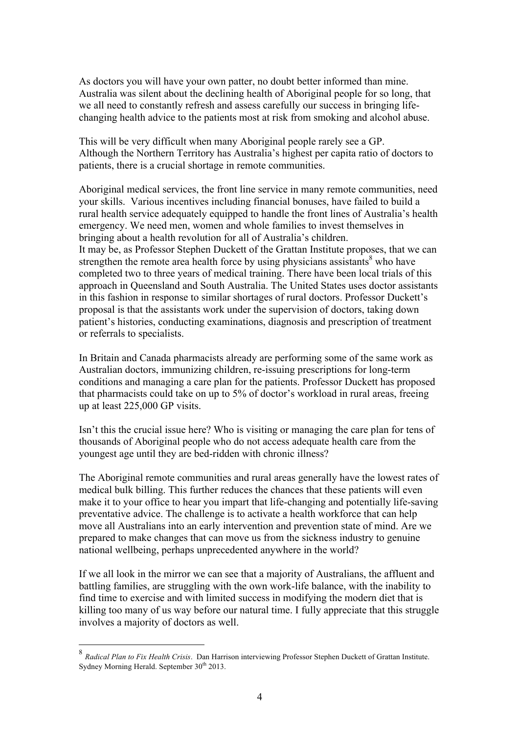As doctors you will have your own patter, no doubt better informed than mine. Australia was silent about the declining health of Aboriginal people for so long, that we all need to constantly refresh and assess carefully our success in bringing lifechanging health advice to the patients most at risk from smoking and alcohol abuse.

This will be very difficult when many Aboriginal people rarely see a GP. Although the Northern Territory has Australia's highest per capita ratio of doctors to patients, there is a crucial shortage in remote communities.

Aboriginal medical services, the front line service in many remote communities, need your skills. Various incentives including financial bonuses, have failed to build a rural health service adequately equipped to handle the front lines of Australia's health emergency. We need men, women and whole families to invest themselves in bringing about a health revolution for all of Australia's children. It may be, as Professor Stephen Duckett of the Grattan Institute proposes, that we can strengthen the remote area health force by using physicians assistants<sup>8</sup> who have completed two to three years of medical training. There have been local trials of this approach in Queensland and South Australia. The United States uses doctor assistants in this fashion in response to similar shortages of rural doctors. Professor Duckett's proposal is that the assistants work under the supervision of doctors, taking down patient's histories, conducting examinations, diagnosis and prescription of treatment or referrals to specialists.

In Britain and Canada pharmacists already are performing some of the same work as Australian doctors, immunizing children, re-issuing prescriptions for long-term conditions and managing a care plan for the patients. Professor Duckett has proposed that pharmacists could take on up to 5% of doctor's workload in rural areas, freeing up at least 225,000 GP visits.

Isn't this the crucial issue here? Who is visiting or managing the care plan for tens of thousands of Aboriginal people who do not access adequate health care from the youngest age until they are bed-ridden with chronic illness?

The Aboriginal remote communities and rural areas generally have the lowest rates of medical bulk billing. This further reduces the chances that these patients will even make it to your office to hear you impart that life-changing and potentially life-saving preventative advice. The challenge is to activate a health workforce that can help move all Australians into an early intervention and prevention state of mind. Are we prepared to make changes that can move us from the sickness industry to genuine national wellbeing, perhaps unprecedented anywhere in the world?

If we all look in the mirror we can see that a majority of Australians, the affluent and battling families, are struggling with the own work-life balance, with the inability to find time to exercise and with limited success in modifying the modern diet that is killing too many of us way before our natural time. I fully appreciate that this struggle involves a majority of doctors as well.

 <sup>8</sup> *Radical Plan to Fix Health Crisis*. Dan Harrison interviewing Professor Stephen Duckett of Grattan Institute. Sydney Morning Herald. September  $30<sup>th</sup> 2013$ .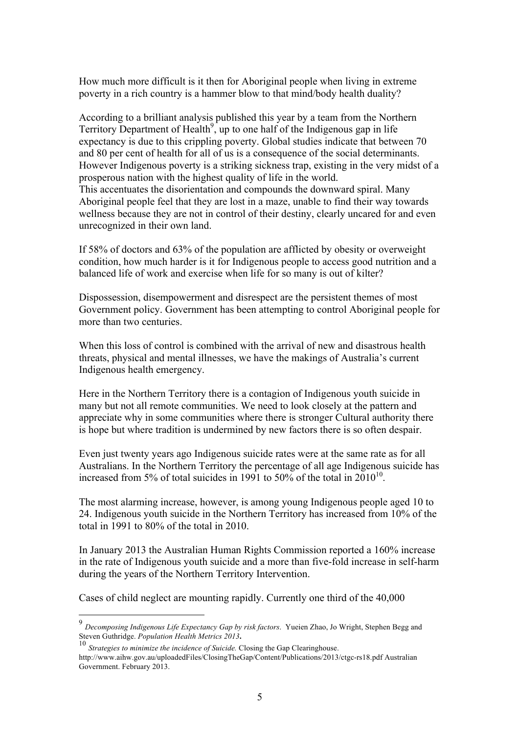How much more difficult is it then for Aboriginal people when living in extreme poverty in a rich country is a hammer blow to that mind/body health duality?

According to a brilliant analysis published this year by a team from the Northern Territory Department of Health<sup>9</sup>, up to one half of the Indigenous gap in life expectancy is due to this crippling poverty. Global studies indicate that between 70 and 80 per cent of health for all of us is a consequence of the social determinants. However Indigenous poverty is a striking sickness trap, existing in the very midst of a prosperous nation with the highest quality of life in the world. This accentuates the disorientation and compounds the downward spiral. Many Aboriginal people feel that they are lost in a maze, unable to find their way towards wellness because they are not in control of their destiny, clearly uncared for and even unrecognized in their own land.

If 58% of doctors and 63% of the population are afflicted by obesity or overweight condition, how much harder is it for Indigenous people to access good nutrition and a balanced life of work and exercise when life for so many is out of kilter?

Dispossession, disempowerment and disrespect are the persistent themes of most Government policy. Government has been attempting to control Aboriginal people for more than two centuries.

When this loss of control is combined with the arrival of new and disastrous health threats, physical and mental illnesses, we have the makings of Australia's current Indigenous health emergency.

Here in the Northern Territory there is a contagion of Indigenous youth suicide in many but not all remote communities. We need to look closely at the pattern and appreciate why in some communities where there is stronger Cultural authority there is hope but where tradition is undermined by new factors there is so often despair.

Even just twenty years ago Indigenous suicide rates were at the same rate as for all Australians. In the Northern Territory the percentage of all age Indigenous suicide has increased from 5% of total suicides in 1991 to 50% of the total in  $2010^{10}$ .

The most alarming increase, however, is among young Indigenous people aged 10 to 24. Indigenous youth suicide in the Northern Territory has increased from 10% of the total in 1991 to 80% of the total in 2010.

In January 2013 the Australian Human Rights Commission reported a 160% increase in the rate of Indigenous youth suicide and a more than five-fold increase in self-harm during the years of the Northern Territory Intervention.

Cases of child neglect are mounting rapidly. Currently one third of the 40,000

 <sup>9</sup> *Decomposing Indigenous Life Expectancy Gap by risk factors*. Yueien Zhao, Jo Wright, Stephen Begg and

Steven Guthridge. *Population Health Metrics 2013***.** <sup>10</sup> *Strategies to minimize the incidence of Suicide.* Closing the Gap Clearinghouse.

http://www.aihw.gov.au/uploadedFiles/ClosingTheGap/Content/Publications/2013/ctgc-rs18.pdf Australian Government. February 2013.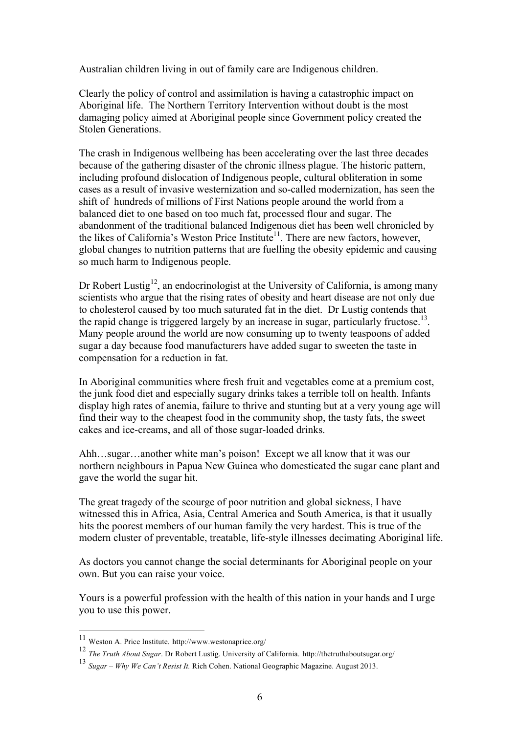Australian children living in out of family care are Indigenous children.

Clearly the policy of control and assimilation is having a catastrophic impact on Aboriginal life. The Northern Territory Intervention without doubt is the most damaging policy aimed at Aboriginal people since Government policy created the Stolen Generations.

The crash in Indigenous wellbeing has been accelerating over the last three decades because of the gathering disaster of the chronic illness plague. The historic pattern, including profound dislocation of Indigenous people, cultural obliteration in some cases as a result of invasive westernization and so-called modernization, has seen the shift of hundreds of millions of First Nations people around the world from a balanced diet to one based on too much fat, processed flour and sugar. The abandonment of the traditional balanced Indigenous diet has been well chronicled by the likes of California's Weston Price Institute<sup>11</sup>. There are new factors, however, global changes to nutrition patterns that are fuelling the obesity epidemic and causing so much harm to Indigenous people.

Dr Robert Lustig<sup>12</sup>, an endocrinologist at the University of California, is among many scientists who argue that the rising rates of obesity and heart disease are not only due to cholesterol caused by too much saturated fat in the diet. Dr Lustig contends that the rapid change is triggered largely by an increase in sugar, particularly fructose.<sup>13</sup>. Many people around the world are now consuming up to twenty teaspoons of added sugar a day because food manufacturers have added sugar to sweeten the taste in compensation for a reduction in fat.

In Aboriginal communities where fresh fruit and vegetables come at a premium cost, the junk food diet and especially sugary drinks takes a terrible toll on health. Infants display high rates of anemia, failure to thrive and stunting but at a very young age will find their way to the cheapest food in the community shop, the tasty fats, the sweet cakes and ice-creams, and all of those sugar-loaded drinks.

Ahh…sugar…another white man's poison! Except we all know that it was our northern neighbours in Papua New Guinea who domesticated the sugar cane plant and gave the world the sugar hit.

The great tragedy of the scourge of poor nutrition and global sickness, I have witnessed this in Africa, Asia, Central America and South America, is that it usually hits the poorest members of our human family the very hardest. This is true of the modern cluster of preventable, treatable, life-style illnesses decimating Aboriginal life.

As doctors you cannot change the social determinants for Aboriginal people on your own. But you can raise your voice.

Yours is a powerful profession with the health of this nation in your hands and I urge you to use this power.

 <sup>11</sup> Weston A. Price Institute. http://www.westonaprice.org/

<sup>12</sup> *The Truth About Sugar*. Dr Robert Lustig. University of California. http://thetruthaboutsugar.org/

<sup>13</sup> *Sugar – Why We Can't Resist It.* Rich Cohen. National Geographic Magazine. August 2013.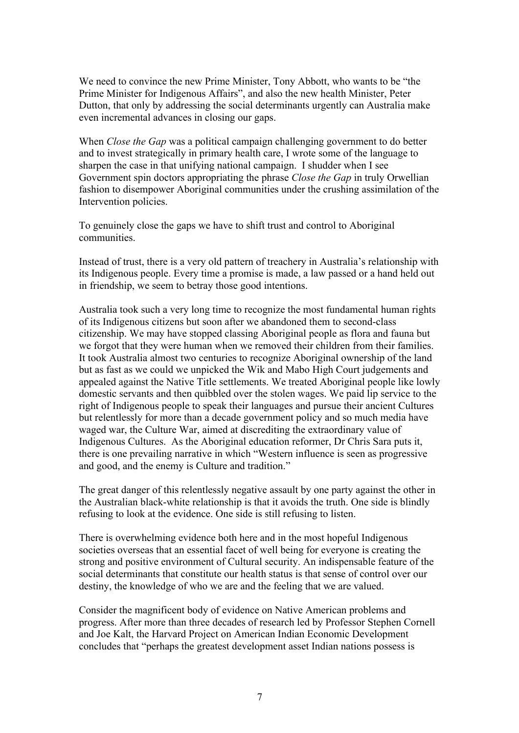We need to convince the new Prime Minister, Tony Abbott, who wants to be "the Prime Minister for Indigenous Affairs", and also the new health Minister, Peter Dutton, that only by addressing the social determinants urgently can Australia make even incremental advances in closing our gaps.

When *Close the Gap* was a political campaign challenging government to do better and to invest strategically in primary health care, I wrote some of the language to sharpen the case in that unifying national campaign. I shudder when I see Government spin doctors appropriating the phrase *Close the Gap* in truly Orwellian fashion to disempower Aboriginal communities under the crushing assimilation of the Intervention policies.

To genuinely close the gaps we have to shift trust and control to Aboriginal communities.

Instead of trust, there is a very old pattern of treachery in Australia's relationship with its Indigenous people. Every time a promise is made, a law passed or a hand held out in friendship, we seem to betray those good intentions.

Australia took such a very long time to recognize the most fundamental human rights of its Indigenous citizens but soon after we abandoned them to second-class citizenship. We may have stopped classing Aboriginal people as flora and fauna but we forgot that they were human when we removed their children from their families. It took Australia almost two centuries to recognize Aboriginal ownership of the land but as fast as we could we unpicked the Wik and Mabo High Court judgements and appealed against the Native Title settlements. We treated Aboriginal people like lowly domestic servants and then quibbled over the stolen wages. We paid lip service to the right of Indigenous people to speak their languages and pursue their ancient Cultures but relentlessly for more than a decade government policy and so much media have waged war, the Culture War, aimed at discrediting the extraordinary value of Indigenous Cultures. As the Aboriginal education reformer, Dr Chris Sara puts it, there is one prevailing narrative in which "Western influence is seen as progressive and good, and the enemy is Culture and tradition."

The great danger of this relentlessly negative assault by one party against the other in the Australian black-white relationship is that it avoids the truth. One side is blindly refusing to look at the evidence. One side is still refusing to listen.

There is overwhelming evidence both here and in the most hopeful Indigenous societies overseas that an essential facet of well being for everyone is creating the strong and positive environment of Cultural security. An indispensable feature of the social determinants that constitute our health status is that sense of control over our destiny, the knowledge of who we are and the feeling that we are valued.

Consider the magnificent body of evidence on Native American problems and progress. After more than three decades of research led by Professor Stephen Cornell and Joe Kalt, the Harvard Project on American Indian Economic Development concludes that "perhaps the greatest development asset Indian nations possess is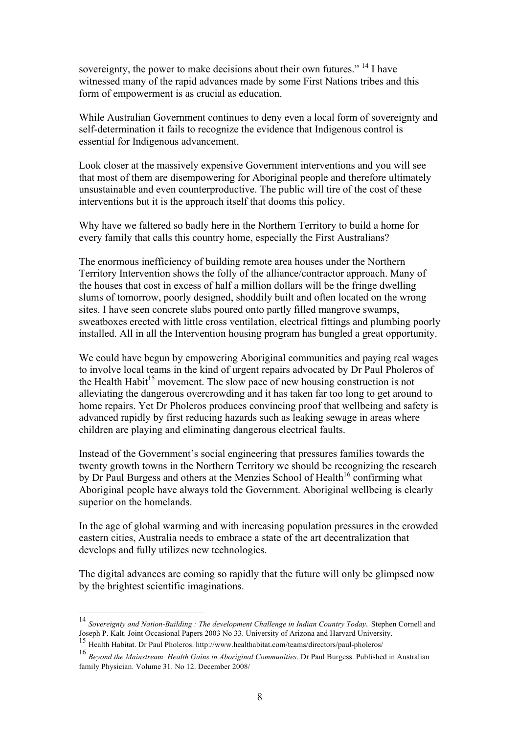sovereignty, the power to make decisions about their own futures." <sup>14</sup> I have witnessed many of the rapid advances made by some First Nations tribes and this form of empowerment is as crucial as education.

While Australian Government continues to deny even a local form of sovereignty and self-determination it fails to recognize the evidence that Indigenous control is essential for Indigenous advancement.

Look closer at the massively expensive Government interventions and you will see that most of them are disempowering for Aboriginal people and therefore ultimately unsustainable and even counterproductive. The public will tire of the cost of these interventions but it is the approach itself that dooms this policy.

Why have we faltered so badly here in the Northern Territory to build a home for every family that calls this country home, especially the First Australians?

The enormous inefficiency of building remote area houses under the Northern Territory Intervention shows the folly of the alliance/contractor approach. Many of the houses that cost in excess of half a million dollars will be the fringe dwelling slums of tomorrow, poorly designed, shoddily built and often located on the wrong sites. I have seen concrete slabs poured onto partly filled mangrove swamps, sweatboxes erected with little cross ventilation, electrical fittings and plumbing poorly installed. All in all the Intervention housing program has bungled a great opportunity.

We could have begun by empowering Aboriginal communities and paying real wages to involve local teams in the kind of urgent repairs advocated by Dr Paul Pholeros of the Health Habit<sup>15</sup> movement. The slow pace of new housing construction is not alleviating the dangerous overcrowding and it has taken far too long to get around to home repairs. Yet Dr Pholeros produces convincing proof that wellbeing and safety is advanced rapidly by first reducing hazards such as leaking sewage in areas where children are playing and eliminating dangerous electrical faults.

Instead of the Government's social engineering that pressures families towards the twenty growth towns in the Northern Territory we should be recognizing the research by Dr Paul Burgess and others at the Menzies School of Health<sup>16</sup> confirming what Aboriginal people have always told the Government. Aboriginal wellbeing is clearly superior on the homelands.

In the age of global warming and with increasing population pressures in the crowded eastern cities, Australia needs to embrace a state of the art decentralization that develops and fully utilizes new technologies.

The digital advances are coming so rapidly that the future will only be glimpsed now by the brightest scientific imaginations.

 <sup>14</sup> *Sovereignty and Nation-Building : The development Challenge in Indian Country Today.* Stephen Cornell and Joseph P. Kalt. Joint Occasional Papers 2003 No 33. University of Arizona and Harvard University.

<sup>15</sup> Health Habitat. Dr Paul Pholeros. http://www.healthabitat.com/teams/directors/paul-pholeros/

<sup>16</sup> *Beyond the Mainstream. Health Gains in Aboriginal Communities*. Dr Paul Burgess. Published in Australian family Physician. Volume 31. No 12. December 2008/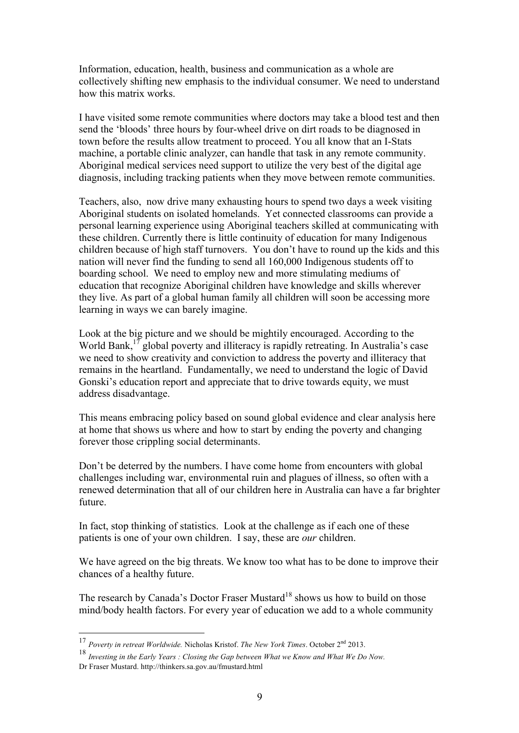Information, education, health, business and communication as a whole are collectively shifting new emphasis to the individual consumer. We need to understand how this matrix works.

I have visited some remote communities where doctors may take a blood test and then send the 'bloods' three hours by four-wheel drive on dirt roads to be diagnosed in town before the results allow treatment to proceed. You all know that an I-Stats machine, a portable clinic analyzer, can handle that task in any remote community. Aboriginal medical services need support to utilize the very best of the digital age diagnosis, including tracking patients when they move between remote communities.

Teachers, also, now drive many exhausting hours to spend two days a week visiting Aboriginal students on isolated homelands. Yet connected classrooms can provide a personal learning experience using Aboriginal teachers skilled at communicating with these children. Currently there is little continuity of education for many Indigenous children because of high staff turnovers. You don't have to round up the kids and this nation will never find the funding to send all 160,000 Indigenous students off to boarding school. We need to employ new and more stimulating mediums of education that recognize Aboriginal children have knowledge and skills wherever they live. As part of a global human family all children will soon be accessing more learning in ways we can barely imagine.

Look at the big picture and we should be mightily encouraged. According to the World Bank,<sup>17</sup> global poverty and illiteracy is rapidly retreating. In Australia's case we need to show creativity and conviction to address the poverty and illiteracy that remains in the heartland. Fundamentally, we need to understand the logic of David Gonski's education report and appreciate that to drive towards equity, we must address disadvantage.

This means embracing policy based on sound global evidence and clear analysis here at home that shows us where and how to start by ending the poverty and changing forever those crippling social determinants.

Don't be deterred by the numbers. I have come home from encounters with global challenges including war, environmental ruin and plagues of illness, so often with a renewed determination that all of our children here in Australia can have a far brighter future.

In fact, stop thinking of statistics. Look at the challenge as if each one of these patients is one of your own children. I say, these are *our* children.

We have agreed on the big threats. We know too what has to be done to improve their chances of a healthy future.

The research by Canada's Doctor Fraser Mustard<sup>18</sup> shows us how to build on those mind/body health factors. For every year of education we add to a whole community

 <sup>17</sup> *Poverty in retreat Worldwide.* Nicholas Kristof. *The New York Times*. October 2nd 2013.

<sup>18</sup> *Investing in the Early Years : Closing the Gap between What we Know and What We Do Now.*

Dr Fraser Mustard. http://thinkers.sa.gov.au/fmustard.html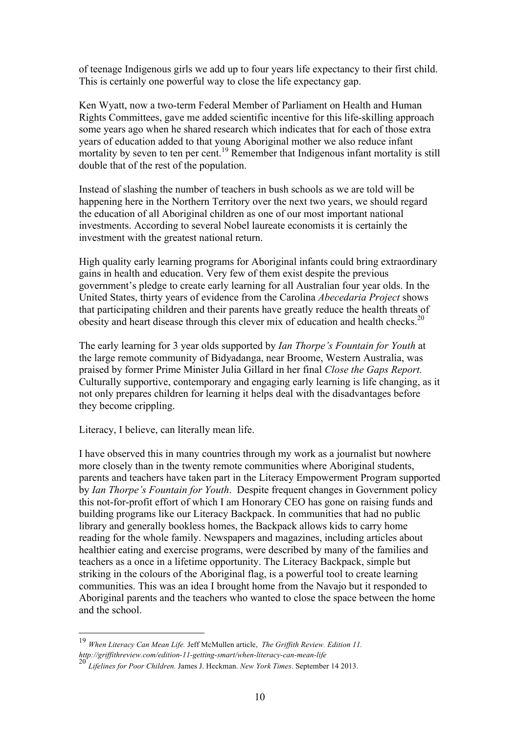of teenage Indigenous girls we add up to four years life expectancy to their first child. This is certainly one powerful way to close the life expectancy gap.

Ken Wyatt, now a two-term Federal Member of Parliament on Health and Human Rights Committees, gave me added scientific incentive for this life-skilling approach some years ago when he shared research which indicates that for each of those extra years of education added to that young Aboriginal mother we also reduce infant mortality by seven to ten per cent.<sup>19</sup> Remember that Indigenous infant mortality is still double that of the rest of the population.

Instead of slashing the number of teachers in bush schools as we are told will be happening here in the Northern Territory over the next two years, we should regard the education of all Aboriginal children as one of our most important national investments. According to several Nobel laureate economists it is certainly the investment with the greatest national return.

High quality early learning programs for Aboriginal infants could bring extraordinary gains in health and education. Very few of them exist despite the previous government's pledge to create early learning for all Australian four year olds. In the United States, thirty years of evidence from the Carolina *Abecedaria Project* shows that participating children and their parents have greatly reduce the health threats of obesity and heart disease through this clever mix of education and health checks.<sup>20</sup>

The early learning for 3 year olds supported by *Ian Thorpe's Fountain for Youth* at the large remote community of Bidyadanga, near Broome, Western Australia, was praised by former Prime Minister Julia Gillard in her final *Close the Gaps Report.* Culturally supportive, contemporary and engaging early learning is life changing, as it not only prepares children for learning it helps deal with the disadvantages before they become crippling.

Literacy, I believe, can literally mean life.

I have observed this in many countries through my work as a journalist but nowhere more closely than in the twenty remote communities where Aboriginal students, parents and teachers have taken part in the Literacy Empowerment Program supported by *Ian Thorpe's Fountain for Youth*. Despite frequent changes in Government policy this not-for-profit effort of which I am Honorary CEO has gone on raising funds and building programs like our Literacy Backpack. In communities that had no public library and generally bookless homes, the Backpack allows kids to carry home reading for the whole family. Newspapers and magazines, including articles about healthier eating and exercise programs, were described by many of the families and teachers as a once in a lifetime opportunity. The Literacy Backpack, simple but striking in the colours of the Aboriginal flag, is a powerful tool to create learning communities. This was an idea I brought home from the Navajo but it responded to Aboriginal parents and the teachers who wanted to close the space between the home and the school.

 <sup>19</sup> *When Literacy Can Mean Life.* Jeff McMullen article, *The Griffith Review. Edition 11. http://griffithreview.com/edition-11-getting-smart/when-literacy-can-mean-life*

<sup>20</sup> *Lifelines for Poor Children.* James J. Heckman. *New York Times*. September 14 2013.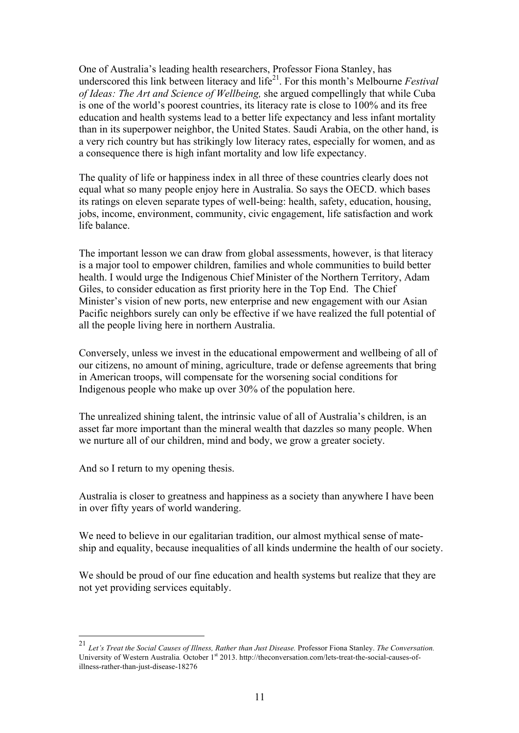One of Australia's leading health researchers, Professor Fiona Stanley, has underscored this link between literacy and life<sup>21</sup>. For this month's Melbourne *Festival of Ideas: The Art and Science of Wellbeing,* she argued compellingly that while Cuba is one of the world's poorest countries, its literacy rate is close to 100% and its free education and health systems lead to a better life expectancy and less infant mortality than in its superpower neighbor, the United States. Saudi Arabia, on the other hand, is a very rich country but has strikingly low literacy rates, especially for women, and as a consequence there is high infant mortality and low life expectancy.

The quality of life or happiness index in all three of these countries clearly does not equal what so many people enjoy here in Australia. So says the OECD. which bases its ratings on eleven separate types of well-being: health, safety, education, housing, jobs, income, environment, community, civic engagement, life satisfaction and work life balance.

The important lesson we can draw from global assessments, however, is that literacy is a major tool to empower children, families and whole communities to build better health. I would urge the Indigenous Chief Minister of the Northern Territory, Adam Giles, to consider education as first priority here in the Top End. The Chief Minister's vision of new ports, new enterprise and new engagement with our Asian Pacific neighbors surely can only be effective if we have realized the full potential of all the people living here in northern Australia.

Conversely, unless we invest in the educational empowerment and wellbeing of all of our citizens, no amount of mining, agriculture, trade or defense agreements that bring in American troops, will compensate for the worsening social conditions for Indigenous people who make up over 30% of the population here.

The unrealized shining talent, the intrinsic value of all of Australia's children, is an asset far more important than the mineral wealth that dazzles so many people. When we nurture all of our children, mind and body, we grow a greater society.

And so I return to my opening thesis.

Australia is closer to greatness and happiness as a society than anywhere I have been in over fifty years of world wandering.

We need to believe in our egalitarian tradition, our almost mythical sense of mateship and equality, because inequalities of all kinds undermine the health of our society.

We should be proud of our fine education and health systems but realize that they are not yet providing services equitably.

 <sup>21</sup> *Let's Treat the Social Causes of Illness, Rather than Just Disease.* Professor Fiona Stanley. *The Conversation.*  University of Western Australia. October 1<sup>st</sup> 2013. http://theconversation.com/lets-treat-the-social-causes-ofillness-rather-than-just-disease-18276